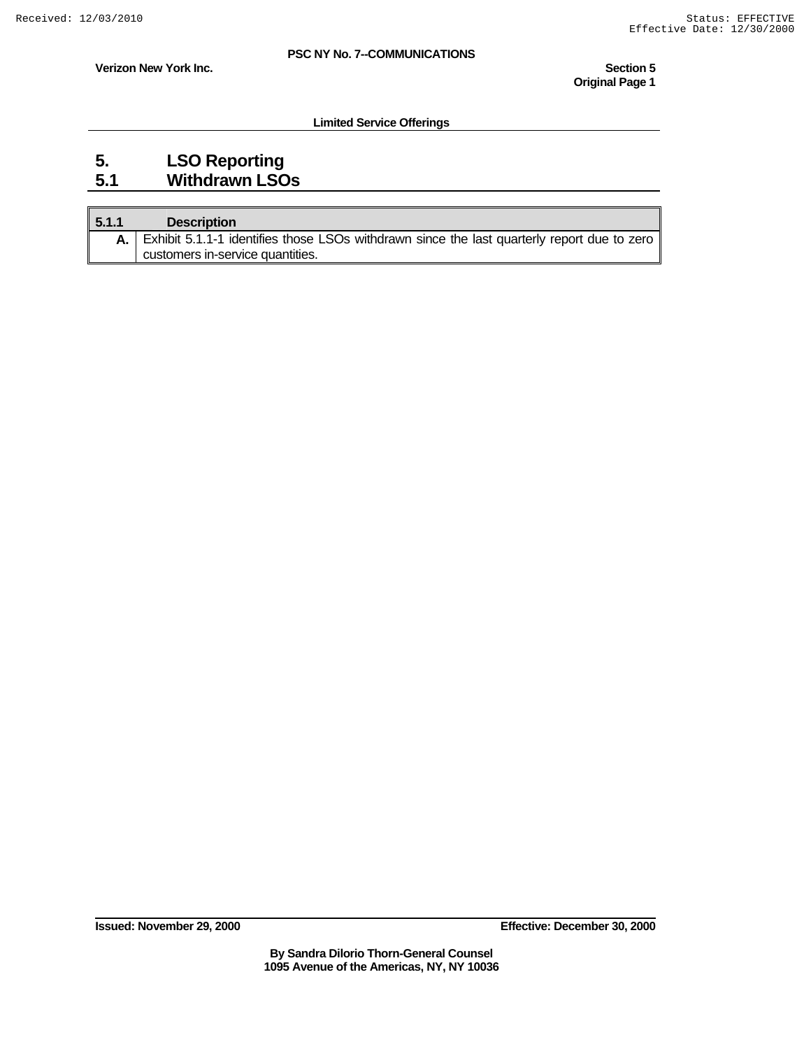**Verizon New York Inc.** Section 5 **Section 5 Section 5** 

**Limited Service Offerings** 

### **5. LSO Reporting 5.1 Withdrawn LSOs**

| 5.1.1 | <b>Description</b>                                                                             |
|-------|------------------------------------------------------------------------------------------------|
|       | A. Exhibit 5.1.1-1 identifies those LSOs withdrawn since the last quarterly report due to zero |
|       | customers in-service quantities.                                                               |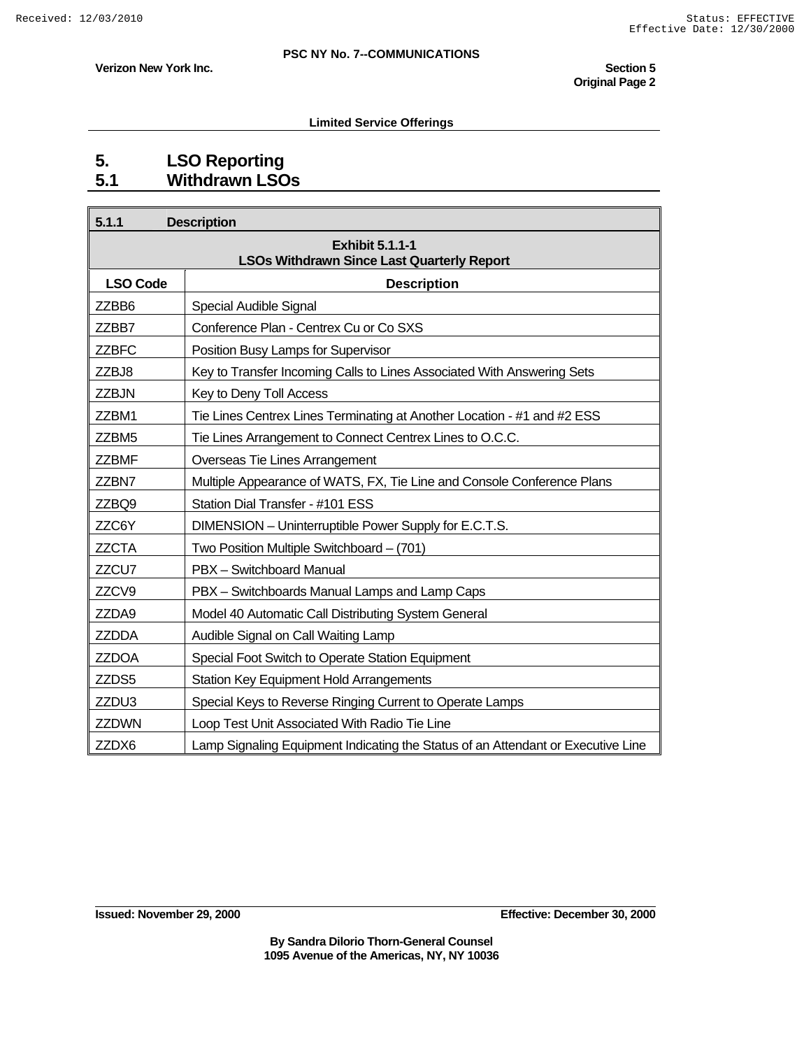**Verizon New York Inc.** Section 5 **Section 5 Section 5 Original Page 2** 

#### **Limited Service Offerings**

### **5. LSO Reporting 5.1 Withdrawn LSOs**

| 5.1.1           | <b>Description</b>                                                               |
|-----------------|----------------------------------------------------------------------------------|
|                 | <b>Exhibit 5.1.1-1</b><br><b>LSOs Withdrawn Since Last Quarterly Report</b>      |
| <b>LSO Code</b> | <b>Description</b>                                                               |
| ZZBB6           | Special Audible Signal                                                           |
| ZZBB7           | Conference Plan - Centrex Cu or Co SXS                                           |
| <b>ZZBFC</b>    | Position Busy Lamps for Supervisor                                               |
| ZZBJ8           | Key to Transfer Incoming Calls to Lines Associated With Answering Sets           |
| ZZBJN           | Key to Deny Toll Access                                                          |
| ZZBM1           | Tie Lines Centrex Lines Terminating at Another Location - #1 and #2 ESS          |
| ZZBM5           | Tie Lines Arrangement to Connect Centrex Lines to O.C.C.                         |
| <b>ZZBMF</b>    | Overseas Tie Lines Arrangement                                                   |
| ZZBN7           | Multiple Appearance of WATS, FX, Tie Line and Console Conference Plans           |
| ZZBQ9           | Station Dial Transfer - #101 ESS                                                 |
| ZZC6Y           | DIMENSION - Uninterruptible Power Supply for E.C.T.S.                            |
| <b>ZZCTA</b>    | Two Position Multiple Switchboard - (701)                                        |
| ZZCU7           | PBX - Switchboard Manual                                                         |
| ZZCV9           | PBX - Switchboards Manual Lamps and Lamp Caps                                    |
| ZZDA9           | Model 40 Automatic Call Distributing System General                              |
| <b>ZZDDA</b>    | Audible Signal on Call Waiting Lamp                                              |
| <b>ZZDOA</b>    | Special Foot Switch to Operate Station Equipment                                 |
| ZZDS5           | <b>Station Key Equipment Hold Arrangements</b>                                   |
| ZZDU3           | Special Keys to Reverse Ringing Current to Operate Lamps                         |
| <b>ZZDWN</b>    | Loop Test Unit Associated With Radio Tie Line                                    |
| ZZDX6           | Lamp Signaling Equipment Indicating the Status of an Attendant or Executive Line |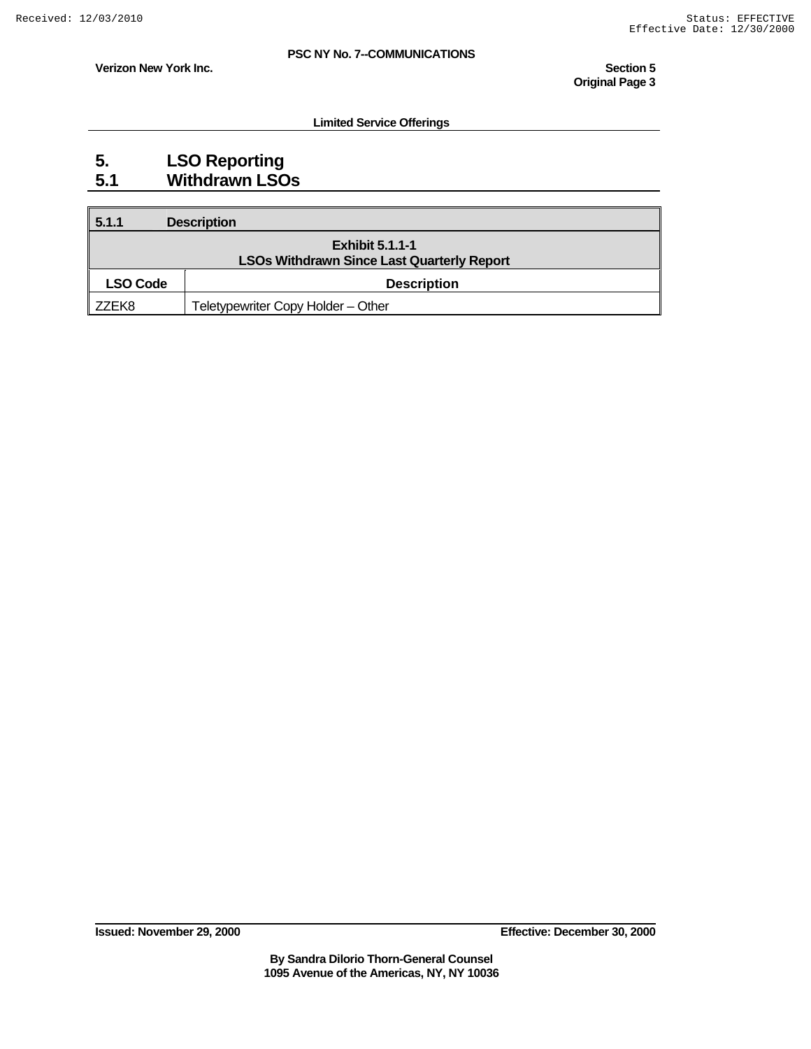**Limited Service Offerings** 

**Verizon New York Inc.** Section 5 **Section 5 Section 5 Original Page 3** 

### **5. LSO Reporting 5.1 Withdrawn LSOs**

| 5.1.1    | <b>Description</b>                                                          |
|----------|-----------------------------------------------------------------------------|
|          | <b>Exhibit 5.1.1-1</b><br><b>LSOs Withdrawn Since Last Quarterly Report</b> |
| LSO Code | <b>Description</b>                                                          |
| ZZEK8    | Teletypewriter Copy Holder - Other                                          |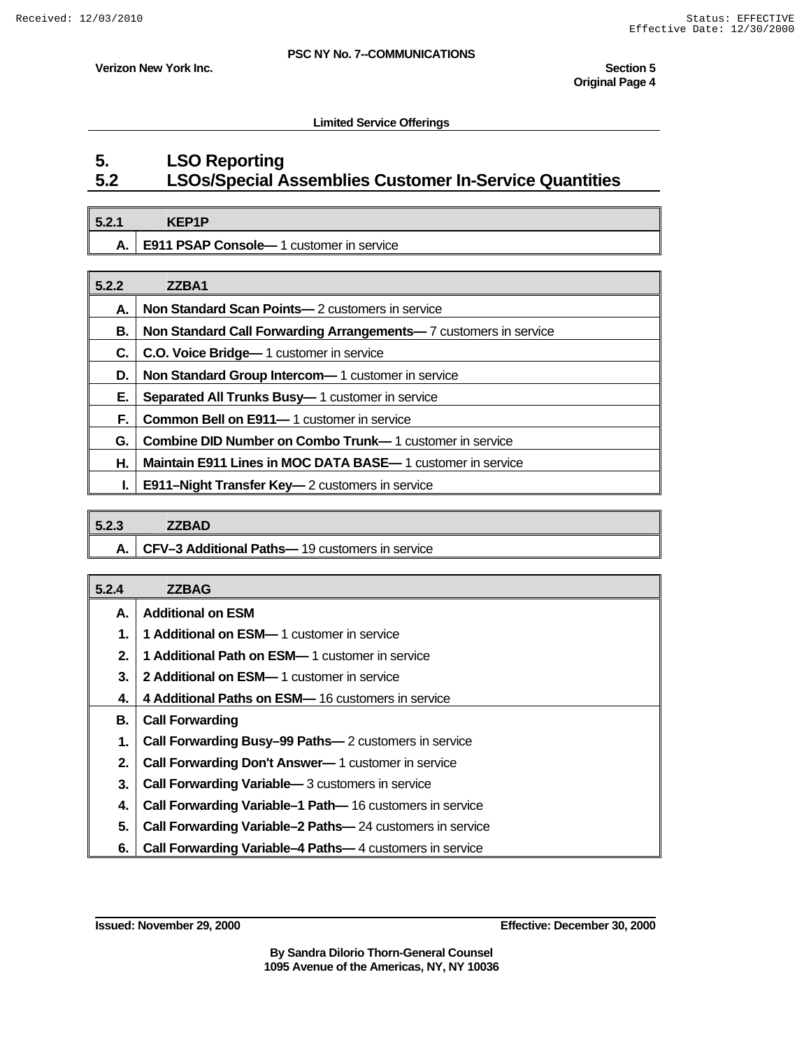**Verizon New York Inc.** Section 5 **Section 5 Section 5** 

#### **Limited Service Offerings**

### **5. LSO Reporting 5.2 LSOs/Special Assemblies Customer In-Service Quantities**

| 5.2.1 | <b>KEP1P</b>                                |
|-------|---------------------------------------------|
| А.    | .   E911 PSAP Console-1 customer in service |

| 5.2.2 | ZZBA1                                                               |
|-------|---------------------------------------------------------------------|
| А.    | <b>Non Standard Scan Points</b> — 2 customers in service            |
| В.    | Non Standard Call Forwarding Arrangements-7 customers in service    |
| С.    | C.O. Voice Bridge - 1 customer in service                           |
| D.    | Non Standard Group Intercom-1 customer in service                   |
| Е.    | <b>Separated All Trunks Busy-1 customer in service</b>              |
| F.    | <b>Common Bell on E911</b> —1 customer in service                   |
| G.    | <b>Combine DID Number on Combo Trunk—1</b> customer in service      |
| Η.    | <b>Maintain E911 Lines in MOC DATA BASE</b> — 1 customer in service |
| L.    | <b>E911–Night Transfer Key—</b> 2 customers in service              |

| 5.2.3 | <b>ZZBAD</b>                                        |
|-------|-----------------------------------------------------|
|       | A.   CFV-3 Additional Paths-19 customers in service |

| 5.2.4 | <b>ZZBAG</b>                                                     |
|-------|------------------------------------------------------------------|
| А.    | <b>Additional on ESM</b>                                         |
| 1.    | <b>1 Additional on ESM— 1 customer in service</b>                |
| 2.    | <b>1 Additional Path on ESM-</b> 1 customer in service           |
| 3.    | <b>2 Additional on ESM— 1 customer in service</b>                |
| 4.    | 4 Additional Paths on ESM-16 customers in service                |
| В.    | <b>Call Forwarding</b>                                           |
| 1.    | <b>Call Forwarding Busy-99 Paths-2</b> customers in service      |
| 2.    | <b>Call Forwarding Don't Answer</b> — 1 customer in service      |
| 3.    | <b>Call Forwarding Variable</b> —3 customers in service          |
| 4.    | <b>Call Forwarding Variable–1 Path—16 customers in service</b>   |
| 5.    | <b>Call Forwarding Variable-2 Paths-</b> 24 customers in service |
| 6.    | <b>Call Forwarding Variable-4 Paths-4 customers in service</b>   |

**Issued: November 29, 2000 Effective: December 30, 2000**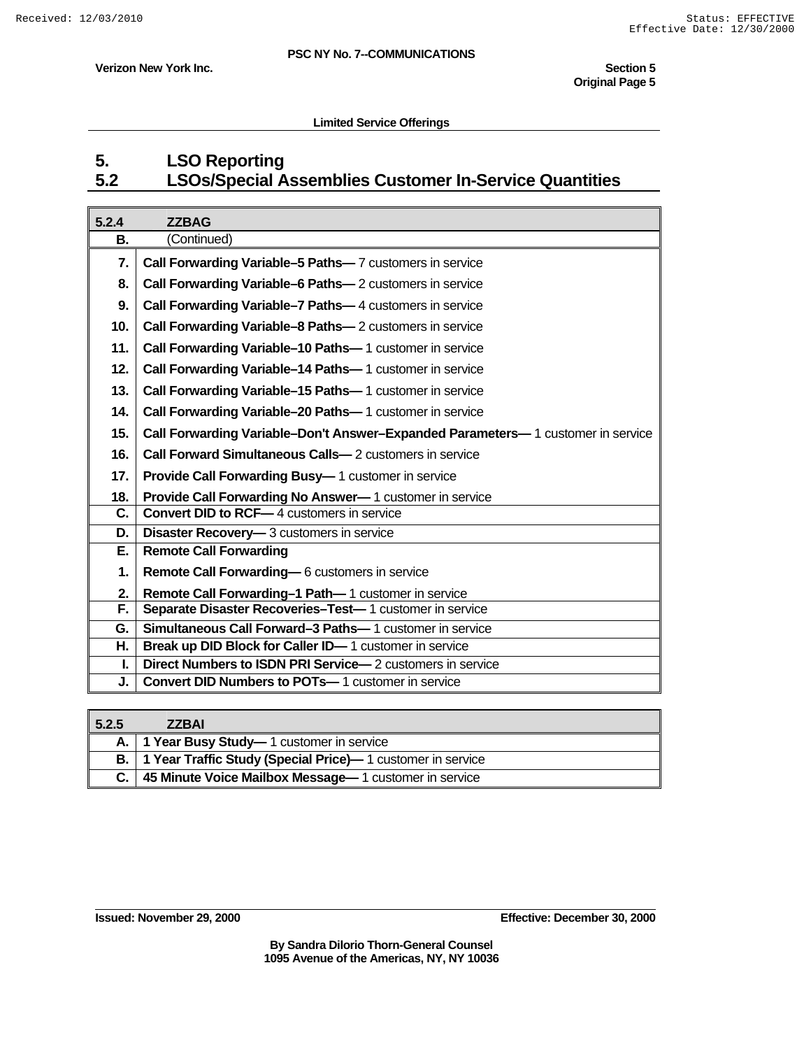**Verizon New York Inc.** Section 5

#### **Limited Service Offerings**

## **5. LSO Reporting 5.2 LSOs/Special Assemblies Customer In-Service Quantities**

| 5.2.4          | <b>ZZBAG</b>                                                                    |
|----------------|---------------------------------------------------------------------------------|
| В.             | (Continued)                                                                     |
| 7.             | <b>Call Forwarding Variable-5 Paths-7 customers in service</b>                  |
| 8.             | <b>Call Forwarding Variable-6 Paths-</b> 2 customers in service                 |
| 9.             | Call Forwarding Variable-7 Paths-4 customers in service                         |
| 10.            | <b>Call Forwarding Variable-8 Paths-</b> 2 customers in service                 |
| 11.            | <b>Call Forwarding Variable-10 Paths-1 customer in service</b>                  |
| 12.            | Call Forwarding Variable-14 Paths-1 customer in service                         |
| 13.            | Call Forwarding Variable-15 Paths-1 customer in service                         |
| 14.            | <b>Call Forwarding Variable-20 Paths-1</b> customer in service                  |
| 15.            | Call Forwarding Variable-Don't Answer-Expanded Parameters-1 customer in service |
| 16.            | <b>Call Forward Simultaneous Calls-</b> 2 customers in service                  |
| 17.            | <b>Provide Call Forwarding Busy-1</b> customer in service                       |
| 18.            | Provide Call Forwarding No Answer-1 customer in service                         |
| $\mathbf{C}$ . | <b>Convert DID to RCF-4 customers in service</b>                                |
| D.             | <b>Disaster Recovery-3</b> customers in service                                 |
| Е.             | <b>Remote Call Forwarding</b>                                                   |
| 1.             | Remote Call Forwarding-6 customers in service                                   |
| 2.             | Remote Call Forwarding-1 Path-1 customer in service                             |
| F.             | Separate Disaster Recoveries-Test-1 customer in service                         |
| G.             | Simultaneous Call Forward-3 Paths-1 customer in service                         |
| Η.             | Break up DID Block for Caller ID-1 customer in service                          |
| L.             | <b>Direct Numbers to ISDN PRI Service</b> — 2 customers in service              |
| J.             | <b>Convert DID Numbers to POTs-</b> 1 customer in service                       |

| 5.2.5       | <b>ZZBAI</b>                                                 |
|-------------|--------------------------------------------------------------|
|             | A.   1 Year Busy Study-1 customer in service                 |
| <b>B.</b> I | 1 Year Traffic Study (Special Price) - 1 customer in service |
|             | 45 Minute Voice Mailbox Message - 1 customer in service      |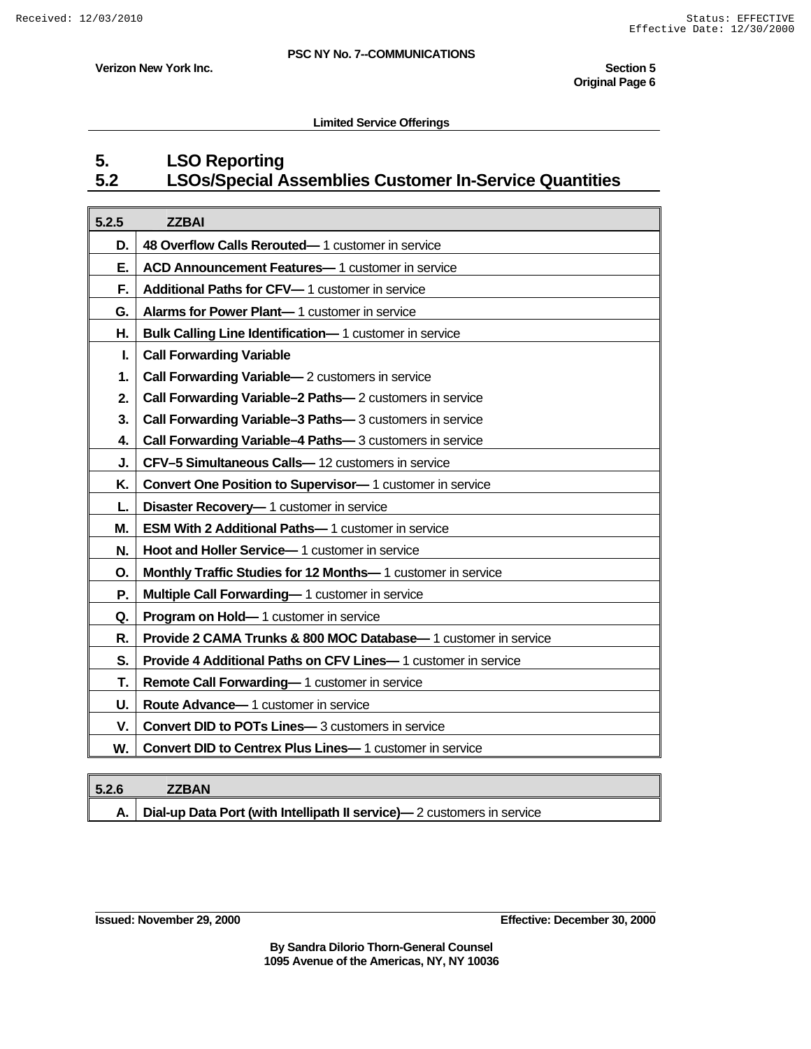**Verizon New York Inc.** Section 5

#### **Limited Service Offerings**

## **5. LSO Reporting 5.2 LSOs/Special Assemblies Customer In-Service Quantities**

| 5.2.5 | <b>ZZBAI</b>                                                     |
|-------|------------------------------------------------------------------|
| D.    | 48 Overflow Calls Rerouted-1 customer in service                 |
| Е.    | ACD Announcement Features-1 customer in service                  |
| F.    | Additional Paths for CFV-1 customer in service                   |
| G.    | Alarms for Power Plant-1 customer in service                     |
| Η.    | Bulk Calling Line Identification-1 customer in service           |
| L     | <b>Call Forwarding Variable</b>                                  |
| 1.    | <b>Call Forwarding Variable</b> - 2 customers in service         |
| 2.    | Call Forwarding Variable-2 Paths-2 customers in service          |
| 3.    | Call Forwarding Variable-3 Paths-3 customers in service          |
| 4.    | Call Forwarding Variable-4 Paths-3 customers in service          |
| J.    | CFV-5 Simultaneous Calls-12 customers in service                 |
| Κ.    | <b>Convert One Position to Supervisor-</b> 1 customer in service |
| L.    | Disaster Recovery-1 customer in service                          |
| М.    | <b>ESM With 2 Additional Paths-1</b> customer in service         |
| N.    | Hoot and Holler Service-1 customer in service                    |
| О.    | Monthly Traffic Studies for 12 Months-1 customer in service      |
| Ρ.    | Multiple Call Forwarding-1 customer in service                   |
| Q.    | Program on Hold-1 customer in service                            |
| R.    | Provide 2 CAMA Trunks & 800 MOC Database-1 customer in service   |
| S.    | Provide 4 Additional Paths on CFV Lines-1 customer in service    |
| Т.    | Remote Call Forwarding-1 customer in service                     |
| U.    | Route Advance-1 customer in service                              |
| V.    | <b>Convert DID to POTs Lines-</b> 3 customers in service         |
| W.    | Convert DID to Centrex Plus Lines-1 customer in service          |

| 5.2.6 | <b>ZZBAN</b>                                                           |
|-------|------------------------------------------------------------------------|
|       | Dial-up Data Port (with Intellipath II service)—2 customers in service |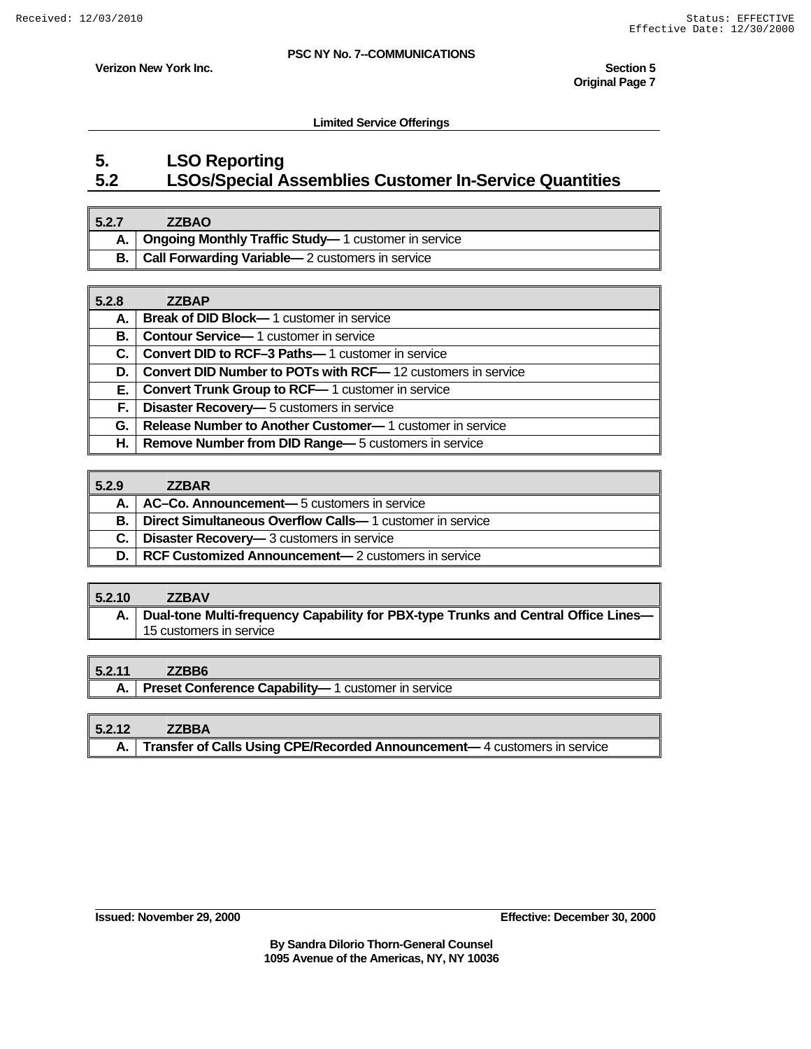**Verizon New York Inc.** Section 5

**Limited Service Offerings** 

### **5. LSO Reporting 5.2 LSOs/Special Assemblies Customer In-Service Quantities**

| 5.2.7       | <b>ZZBAO</b>                                             |
|-------------|----------------------------------------------------------|
|             | A.   Ongoing Monthly Traffic Study-1 customer in service |
| <b>B.</b> I | <b>Call Forwarding Variable</b> - 2 customers in service |

| 5.2.8 | <b>ZZBAP</b>                                                       |
|-------|--------------------------------------------------------------------|
| А.    | <b>Break of DID Block-</b> 1 customer in service                   |
| В.    | <b>Contour Service</b> —1 customer in service                      |
| C.    | <b>Convert DID to RCF-3 Paths-1</b> customer in service            |
| D.    | <b>Convert DID Number to POTs with RCF—12 customers in service</b> |
| E. '  | <b>Convert Trunk Group to RCF-1</b> customer in service            |
| F.    | <b>Disaster Recovery-6</b> customers in service                    |
| G.    | <b>Release Number to Another Customer—1</b> customer in service    |
| Н.    | <b>Remove Number from DID Range</b> — 5 customers in service       |

| 5.2.9 | <b>ZZBAR</b>                                                     |
|-------|------------------------------------------------------------------|
|       | AC-Co. Announcement- 5 customers in service                      |
| В.    | <b>Direct Simultaneous Overflow Calls</b> —1 customer in service |
| С.    | <b>Disaster Recovery-3</b> customers in service                  |
| D. I  | <b>RCF Customized Announcement</b> — 2 customers in service      |

#### **5.2.10 ZZBAV**

**A. Dual-tone Multi-frequency Capability for PBX-type Trunks and Central Office Lines—** 15 customers in service

#### **5.2.11 ZZBB6**

|  |  |  | A.   Preset Conference Capability-1 customer in service |
|--|--|--|---------------------------------------------------------|
|--|--|--|---------------------------------------------------------|

| 5.2.12 | <b>ZZBBA</b>                                                                  |
|--------|-------------------------------------------------------------------------------|
|        | A.   Transfer of Calls Using CPE/Recorded Announcement—4 customers in service |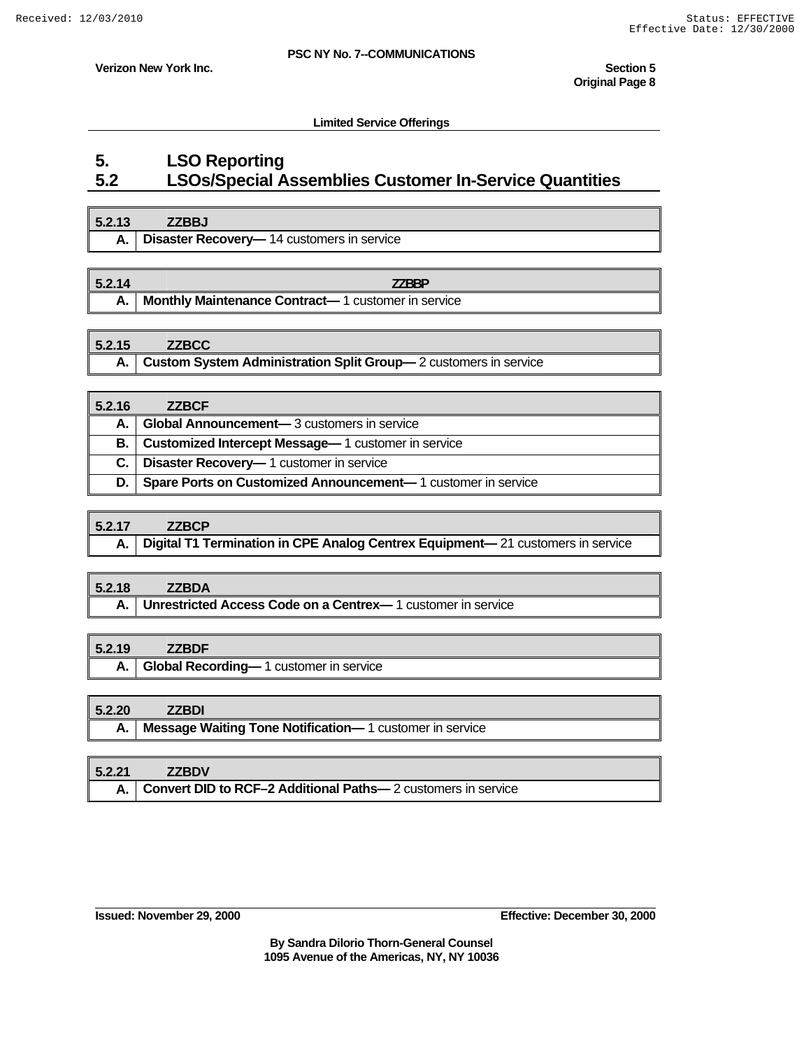**Verizon New York Inc.** Section 5

**Limited Service Offerings** 

### **5. LSO Reporting 5.2 LSOs/Special Assemblies Customer In-Service Quantities**

| 5.2.13 | <b>7ZBBJ</b>                                      |
|--------|---------------------------------------------------|
| А.     | <b>Disaster Recovery-</b> 14 customers in service |
|        |                                                   |

| 5.2.14 | 77RRP                                              |
|--------|----------------------------------------------------|
|        | Monthly Maintenance Contract-1 customer in service |

### **5.2.15 ZZBCC A. Custom System Administration Split Group—** 2 customers in service

| 5.2.16      | <b>ZZBCF</b>                                                 |
|-------------|--------------------------------------------------------------|
| A. I        | Global Announcement-3 customers in service                   |
| <b>B.</b> I | <b>Customized Intercept Message</b> — 1 customer in service  |
| C. I        | <b>Disaster Recovery-1</b> customer in service               |
| D. I        | Spare Ports on Customized Announcement-1 customer in service |

| 5.2.17 | <b>ZZBCP</b>                                                                        |
|--------|-------------------------------------------------------------------------------------|
|        | A.   Digital T1 Termination in CPE Analog Centrex Equipment—21 customers in service |

### **5.2.18 ZZBDA A. Unrestricted Access Code on a Centrex—** 1 customer in service

### **5.2.19 ZZBDF**

**A. Global Recording—** 1 customer in service

#### **5.2.20 ZZBDI**

**A. Message Waiting Tone Notification—** 1 customer in service

| 5.2.21 | <b>ZZBDV</b>                                                      |
|--------|-------------------------------------------------------------------|
|        | A.   Convert DID to RCF-2 Additional Paths-2 customers in service |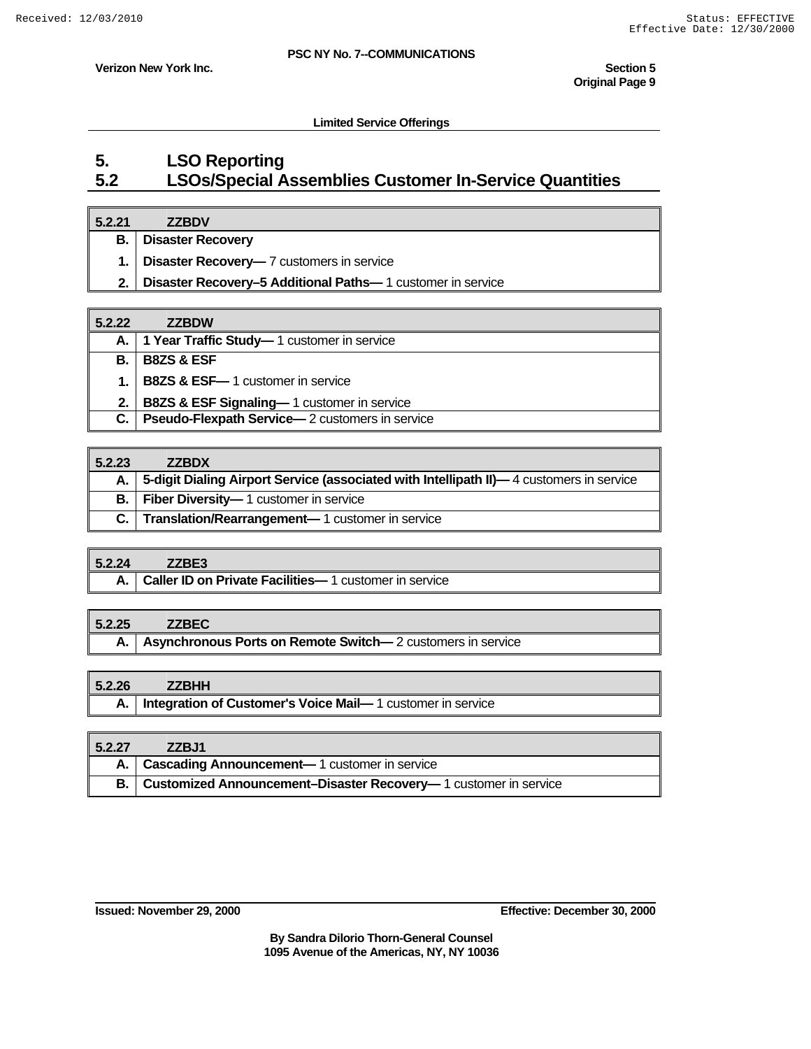**Verizon New York Inc.** Section 5

**Limited Service Offerings** 

### **5. LSO Reporting 5.2 LSOs/Special Assemblies Customer In-Service Quantities**

#### **5.2.21 ZZBDV**

**B. Disaster Recovery**

**1. Disaster Recovery—** 7 customers in service

**2. Disaster Recovery–5 Additional Paths—** 1 customer in service

| 5.2.22      | <b>ZZBDW</b>                                           |
|-------------|--------------------------------------------------------|
| A. I        | 1 Year Traffic Study-1 customer in service             |
| <b>B.</b> I | <b>B8ZS &amp; ESF</b>                                  |
| $1-1$       | <b>B8ZS &amp; ESF-</b> 1 customer in service           |
| 2.1         | <b>B8ZS &amp; ESF Signaling-1 customer in service</b>  |
| C.          | <b>Pseudo-Flexpath Service</b> —2 customers in service |

| 5.2.23      | <b>ZZBDX</b>                                                                               |
|-------------|--------------------------------------------------------------------------------------------|
|             | A. 5-digit Dialing Airport Service (associated with Intellipath II)—4 customers in service |
| <b>B.</b> I | <b>Fiber Diversity-1</b> customer in service                                               |
|             | C.   Translation/Rearrangement-1 customer in service                                       |

#### **5.2.24 ZZBE3**

| A.   Caller ID on Private Facilities-1 customer in service |  |
|------------------------------------------------------------|--|
|------------------------------------------------------------|--|

#### **5.2.25 ZZBEC**

**A.** Asynchronous Ports on Remote Switch—2 customers in service

#### **5.2.26 ZZBHH**

|  | A.   Integration of Customer's Voice Mail-1 customer in service |
|--|-----------------------------------------------------------------|
|--|-----------------------------------------------------------------|

| 5.2.27 | ZZBJ1                                                                     |
|--------|---------------------------------------------------------------------------|
|        | A.   Cascading Announcement-1 customer in service                         |
|        | <b>B.</b> Customized Announcement-Disaster Recovery-1 customer in service |

**Issued: November 29, 2000 Effective: December 30, 2000**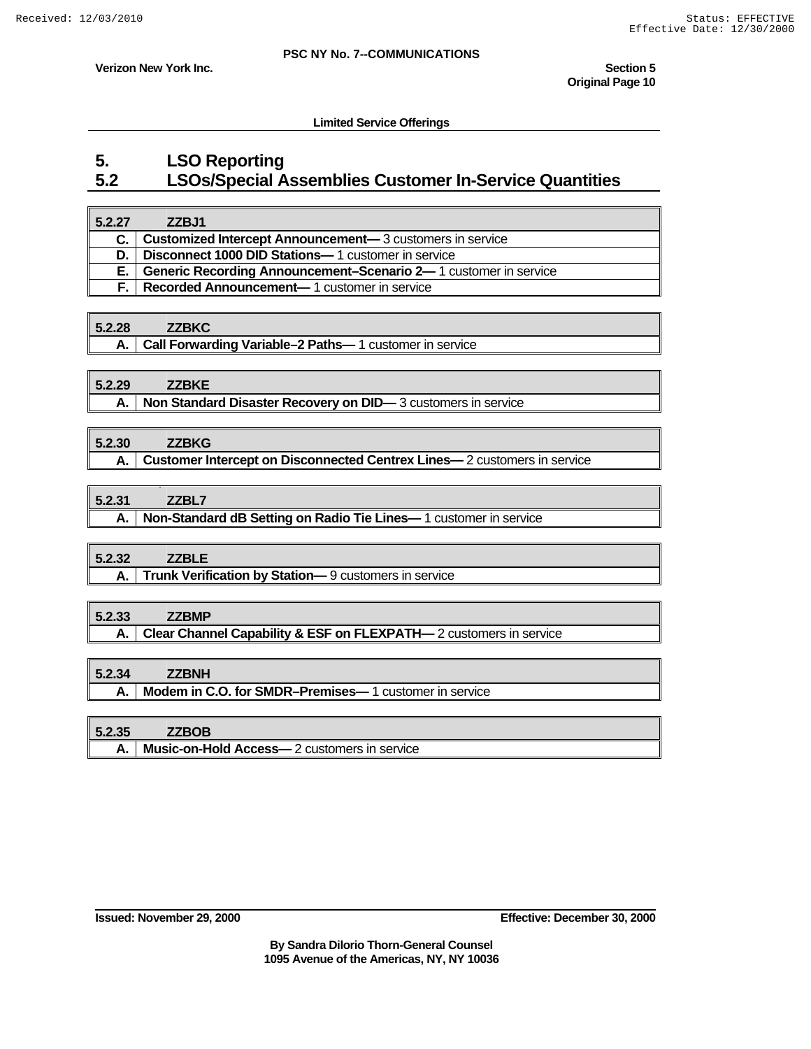**Verizon New York Inc.** Section 5

 **Limited Service Offerings** 

### **5. LSO Reporting 5.2 LSOs/Special Assemblies Customer In-Service Quantities**

| 5.2.27 | ZZBJ1                                                                   |
|--------|-------------------------------------------------------------------------|
|        | <b>Customized Intercept Announcement—</b> 3 customers in service        |
| D. I   | <b>Disconnect 1000 DID Stations-1</b> customer in service               |
| Е.     | <b>Generic Recording Announcement–Scenario 2—</b> 1 customer in service |
| F. I   | <b>Recorded Announcement—1</b> customer in service                      |

#### **5.2.28 ZZBKC**

**A.** | Call Forwarding Variable–2 Paths—1 customer in service

### **5.2.29 ZZBKE**

**A.** | Non Standard Disaster Recovery on DID—3 customers in service

#### **5.2.30 ZZBKG**

**A. Customer Intercept on Disconnected Centrex Lines—** 2 customers in service

#### **5.2.31 ZZBL7**

**A.** | Non-Standard dB Setting on Radio Tie Lines—1 customer in service

#### **5.2.32 ZZBLE**

**A. Trunk Verification by Station—** 9 customers in service

#### **5.2.33 ZZBMP**

**A. Clear Channel Capability & ESF on FLEXPATH—** 2 customers in service

#### **5.2.34 ZZBNH**

**A.** | Modem in C.O. for SMDR-Premises-1 customer in service

#### **5.2.35 ZZBOB**

**A. Music-on-Hold Access—** 2 customers in service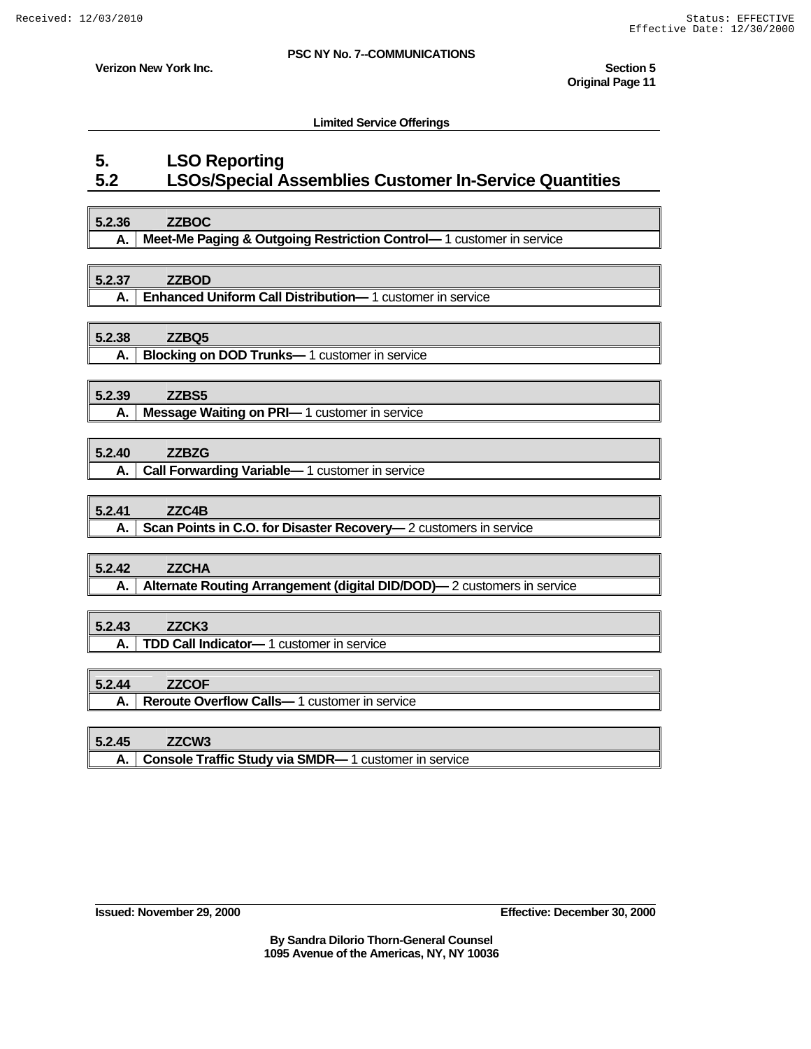**Verizon New York Inc.** Section 5

**Limited Service Offerings** 

### **5. LSO Reporting 5.2 LSOs/Special Assemblies Customer In-Service Quantities**

### **5.2.36 ZZBOC A. Meet-Me Paging & Outgoing Restriction Control—** 1 customer in service

#### **5.2.37 ZZBOD**

**A. Enhanced Uniform Call Distribution—** 1 customer in service

#### **5.2.38 ZZBQ5**

**A.** | Blocking on DOD Trunks—1 customer in service

### **5.2.39 ZZBS5**

**A. Message Waiting on PRI—** 1 customer in service

### **5.2.40 ZZBZG**

A. | Call Forwarding Variable—1 customer in service

#### **5.2.41 ZZC4B**

**A.** Scan Points in C.O. for Disaster Recovery— 2 customers in service

# **5.2.42 ZZCHA**

**A.** Alternate Routing Arrangement (digital DID/DOD)— 2 customers in service

### **5.2.43 ZZCK3**

**A. TDD Call Indicator—** 1 customer in service

#### **5.2.44 ZZCOF**

**A.** | Reroute Overflow Calls—1 customer in service

#### **5.2.45 ZZCW3**

**A. Console Traffic Study via SMDR—** 1 customer in service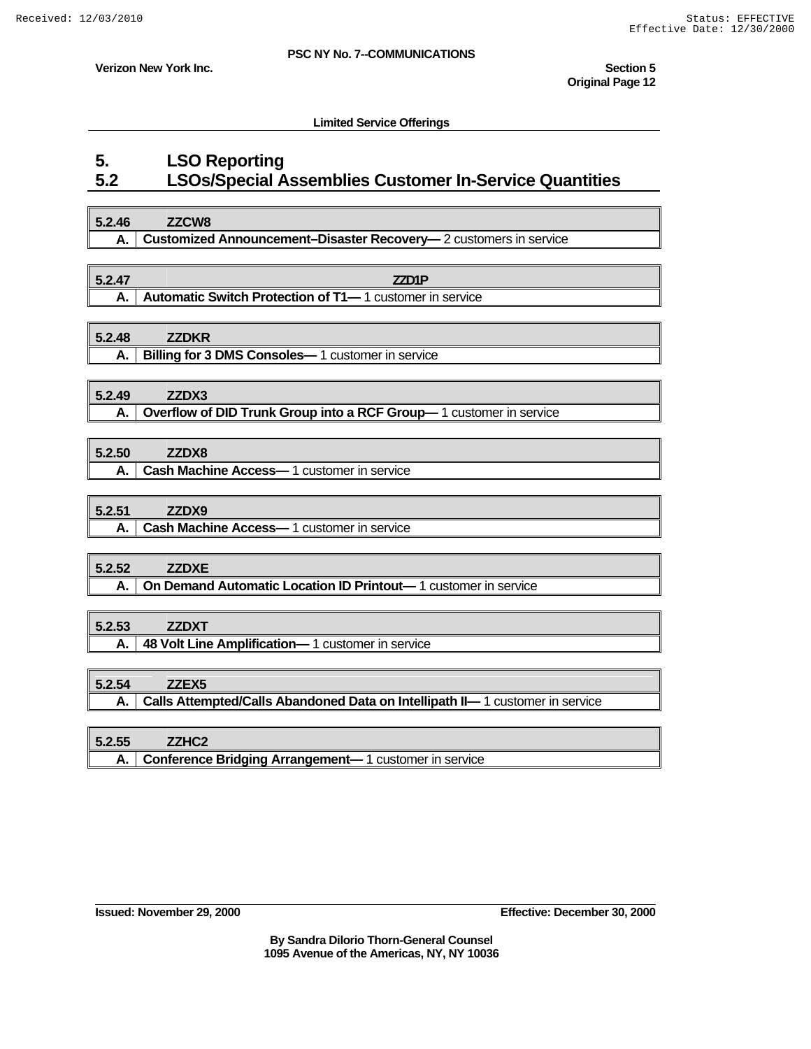**Verizon New York Inc.** Section 5

**Limited Service Offerings** 

### **5. LSO Reporting 5.2 LSOs/Special Assemblies Customer In-Service Quantities**

### **5.2.46 ZZCW8 A. Customized Announcement–Disaster Recovery—** 2 customers in service

**5.2.47 ZZD1P A.** | Automatic Switch Protection of T1-1 customer in service

**5.2.48 ZZDKR**

#### **A. Billing for 3 DMS Consoles—** 1 customer in service

### **5.2.49 ZZDX3**

**A.** Overflow of DID Trunk Group into a RCF Group—1 customer in service

| 5.2.50 | ZZDX8                                          |
|--------|------------------------------------------------|
|        | A.   Cash Machine Access-1 customer in service |

#### **5.2.51 ZZDX9**

**A. Cash Machine Access—** 1 customer in service

### **5.2.52 ZZDXE**

**A. On Demand Automatic Location ID Printout**—1 customer in service

### **5.2.53 ZZDXT**

**A. 48 Volt Line Amplification—** 1 customer in service

#### **5.2.54 ZZEX5**

**A. Calls Attempted/Calls Abandoned Data on Intellipath II—** 1 customer in service

### **5.2.55 ZZHC2**

**A. Conference Bridging Arrangement—** 1 customer in service